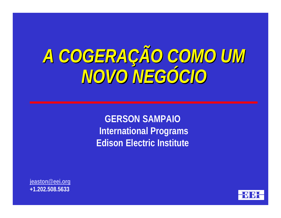# *A COGERAÇÃO COMO UM NOVO NEGÓCIO*

**GERSON SAMPAIO International Programs Edison Electric Institute**

**jeaston@eei.org +1.202.508.5633**

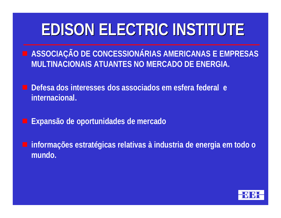# **EDISON ELECTRIC INSTITUTE**

- **E ASSOCIAÇÃO DE CONCESSIONÁRIAS AMERICANAS E EMPRESAS MULTINACIONAIS ATUANTES NO MERCADO DE ENERGIA.**
- g **Defesa dos interesses dos associados em esfera federal e internacional.**
- g **Expansão de oportunidades de mercado**
- g **informações estratégicas relativas à industria de energia em todo o mundo.**

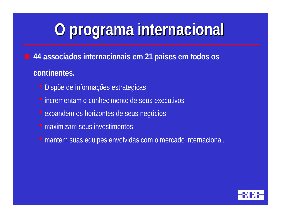# **O programa internacional**

g **44 associados internacionais em 21 paises em todos os continentes.**

- Dispõe de informações estratégicas
- $\bullet$  incrementam o conhecimento de seus executivos
- expandem os horizontes de seus negócios
- maximizam seus investimentos
- · mantém suas equipes envolvidas com o mercado internacional.

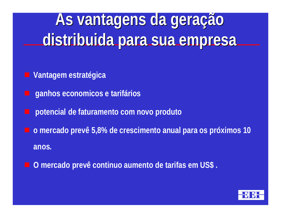# **As vantagens da geração distribuida para sua empresa**

g **Vantagem estratégica**

- g **ganhos economicos e tarifários**
- g **potencial de faturamento com novo produto**
- g **o mercado prevê 5,8% de crescimento anual para os próximos 10 anos.**
- g **O mercado prevê continuo aumento de tarifas em US\$ .**

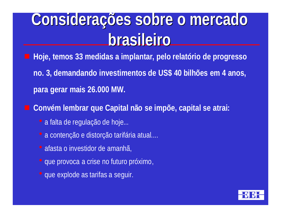# **Considerações sobre o mercado brasileiro**

- g **Hoje, temos 33 medidas a implantar, pelo relatório de progresso**
- **no. 3, demandando investimentos de US\$ 40 bilhões em 4 anos, para gerar mais 26.000 MW.**
- g **Convém lembrar que Capital não se impõe, capital se atrai:**
	- a falta de regulação de hoje...
	- a contenção e distorção tarifária atual....
	- afasta o investidor de amanhã,
	- que provoca a crise no futuro próximo,
	- que explode as tarifas a seguir.

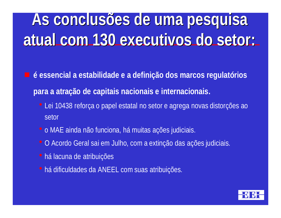# **As conclusões de uma pesquisa atual com 130 executivos do setor:**

g **é essencial a estabilidade e a definição dos marcos regulatórios para a atração de capitais nacionais e internacionais.**

- Lei 10438 reforça o papel estatal no setor e agrega novas distorções ao setor
- o MAE ainda não funciona, há muitas ações judiciais.
- O Acordo Geral sai em Julho, com a extinção das ações judiciais.
- há lacuna de atribuições
- · há dificuldades da ANEEL com suas atribuições.

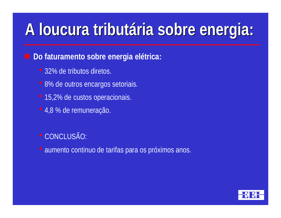## **A loucura tributária sobre energia:**

#### g **Do faturamento sobre energia elétrica:**

- 32% de tributos diretos.
- 8% de outros encargos setoriais.
- 15,2% de custos operacionais.
- 4,8 % de remuneração.

· CONCLUSÃO:

· aumento continuo de tarifas para os próximos anos.

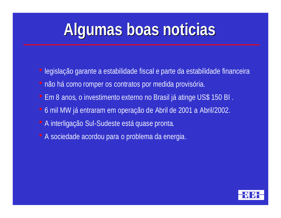## **Algumas boas noticias**

- legislação garante a estabilidade fiscal e parte da estabilidade financeira
- · não há como romper os contratos por medida provisória.
- Em 8 anos, o investimento externo no Brasil já atinge US\$ 150 BI.
- $\bullet$  6 mil MW já entraram em operação de Abril de 2001 a Abril/2002.
- A interligação Sul-Sudeste está quase pronta.
- $\bullet$  A sociedade acordou para o problema da energia.

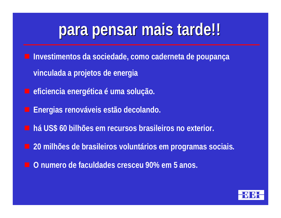### **para pensar mais tarde!!**

- g **Investimentos da sociedade, como caderneta de poupança vinculada a projetos de energia**
	- g **eficiencia energética é uma solução.**
- g **Energias renováveis estão decolando.**
- g **há US\$ 60 bilhões em recursos brasileiros no exterior.**
	- g **20 milhões de brasileiros voluntários em programas sociais.**
- g **O numero de faculdades cresceu 90% em 5 anos.**

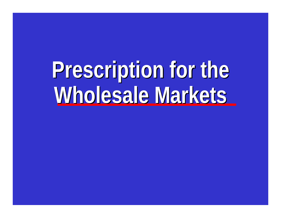**Prescription for the Wholesale Markets**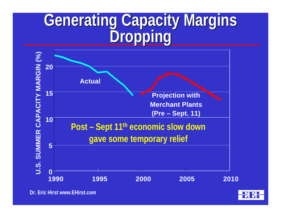### **Generating Capacity Margins Dropping**



**Dr. Eric Hirst www.EHirst.com**

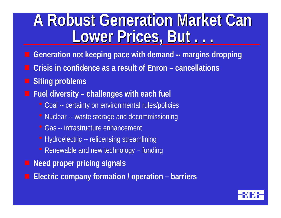### **A Robust Generation Market Can Lower Prices, But . . .**

- g **Generation not keeping pace with demand -- margins dropping**
- g **Crisis in confidence as a result of Enron cancellations**
- **Siting problems**
- g **Fuel diversity challenges with each fuel**
	- Coal -- certainty on environmental rules/policies
	- Nuclear -- waste storage and decommissioning
	- Gas -- infrastructure enhancement
	- Hydroelectric -- relicensing streamlining
	- Renewable and new technology funding
- **Need proper pricing signals**
- g **Electric company formation / operation barriers**

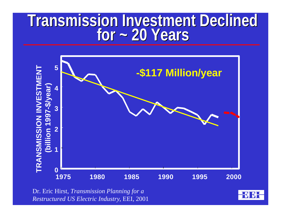### **Transmission Investment Declined for ~ 20 Years**



Dr. Eric Hirst, *Transmission Planning for a Restructured US Electric Industry*, EEI, 2001

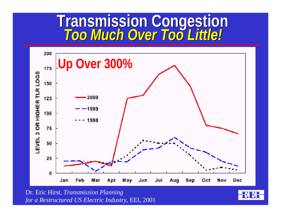### **Transmission Congestion** *Too Much Over Too Little!*



Dr. Eric Hirst, *Transmission Planning for a Restructured US Electric Industry*, EEI, 2001

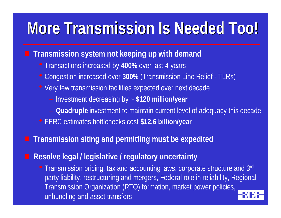# **More Transmission Is Needed Too!**

#### **The Transmission system not keeping up with demand**

- Transactions increased by 400% over last 4 years
- Congestion increased over **300%** (Transmission Line Relief TLRs)
- Very few transmission facilities expected over next decade
	- Investment decreasing by ~ **\$120 million/year**
	- **Quadruple** investment to maintain current level of adequacy this decade
- **FERC estimates bottlenecks cost \$12.6 billion/year**

#### g **Transmission siting and permitting must be expedited**

#### g **Resolve legal / legislative / regulatory uncertainty**

• Transmission pricing, tax and accounting laws, corporate structure and 3rd party liability, restructuring and mergers, Federal role in reliability, Regional Transmission Organization (RTO) formation, market power policies, unbundling and asset transfers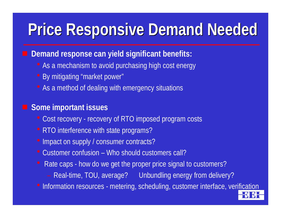### **Price Responsive Demand Needed**

**E** Demand response can yield significant benefits:

- As a mechanism to avoid purchasing high cost energy
- By mitigating "market power"
- As a method of dealing with emergency situations

#### **u** Some important issues

- Cost recovery recovery of RTO imposed program costs
- RTO interference with state programs?
- Impact on supply / consumer contracts?
- $\bullet$  Customer confusion Who should customers call?
- Rate caps how do we get the proper price signal to customers?
	- Real-time, TOU, average? Unbundling energy from delivery?
- Information resources metering, scheduling, customer interface, verification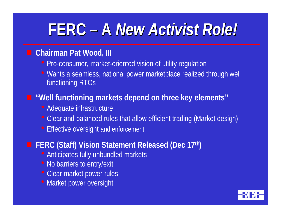### **FERC – A** *New Activist Role!*

#### ■ Chairman Pat Wood, III

- Pro-consumer, market-oriented vision of utility regulation
- Wants a seamless, national power marketplace realized through well functioning RTOs

#### $\blacksquare$  **"Well functioning markets depend on three key elements"**

- Adequate infrastructure
- Clear and balanced rules that allow efficient trading (Market design)
- Effective oversight and enforcement

#### g **FERC (Staff) Vision Statement Released (Dec 17th)**

- Anticipates fully unbundled markets
- No barriers to entry/exit
- **Clear market power rules**
- Market power oversight

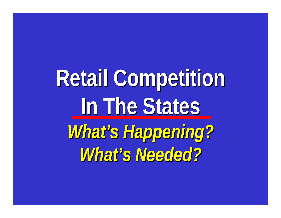**Retail Competition In The States** *What's Happening? What's Needed?*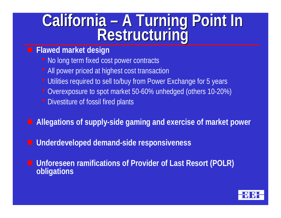### **California – A Turning Point In Restructuring**

#### g **Flawed market design**

- No long term fixed cost power contracts
- All power priced at highest cost transaction
- Utilities required to sell to/buy from Power Exchange for 5 years
- Overexposure to spot market 50-60% unhedged (others 10-20%)
- Divestiture of fossil fired plants
- g **Allegations of supply-side gaming and exercise of market power**
- g **Underdeveloped demand-side responsiveness**
- **E** Unforeseen ramifications of Provider of Last Resort (POLR) **obligations**

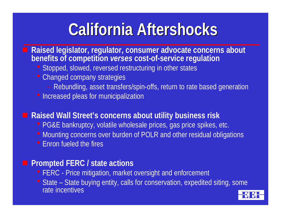## **California Aftershocks**

#### g **Raised legislator, regulator, consumer advocate concerns about benefits of competition** *verses* **cost-of-service regulation**

- Stopped, slowed, reversed restructuring in other states
- Changed company strategies
	- Rebundling, asset transfers/spin-offs, return to rate based generation
- Increased pleas for municipalization

#### g **Raised Wall Street's concerns about utility business risk**

- PG&E bankruptcy, volatile wholesale prices, gas price spikes, etc.
- Mounting concerns over burden of POLR and other residual obligations
- Enron fueled the fires

#### $\blacksquare$  Prompted FERC / state actions

- FERC Price mitigation, market oversight and enforcement
- State State buying entity, calls for conservation, expedited siting, some rate incentives

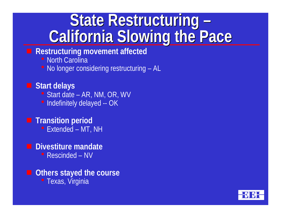### **State Restructuring – California Slowing the Pace**

#### **E** Restructuring movement affected

**• North Carolina** 

 $\bullet$  No longer considering restructuring  $-$  AL

#### g **Start delays**

- Start date AR, NM, OR, WV
- Indefinitely delayed -- OK

#### $\blacksquare$  **Transition period**

• Extended – MT, NH

#### $\blacksquare$  Divestiture mandate

• Rescinded – NV

#### $\blacksquare$  Others stayed the course • Texas, Virginia

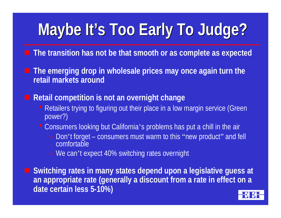# **Maybe It's Too Early To Judge?**

- **The transition has not be that smooth or as complete as expected**
- **The emerging drop in wholesale prices may once again turn the retail markets around**
	- g **Retail competition is not an overnight change**
		- Retailers trying to figuring out their place in a low margin service (Green power?)
		- Consumers looking but California's problems has put a chill in the air
			- Don't forget consumers must warm to this "new product" and fell comfortable
			- We can't expect 40% switching rates overnight

g **Switching rates in many states depend upon a legislative guess at an appropriate rate (generally a discount from a rate in effect on a date certain less 5-10%)**

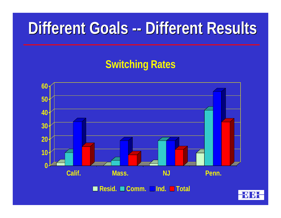### **Different Goals -- Different Results**

### **Switching Rates**

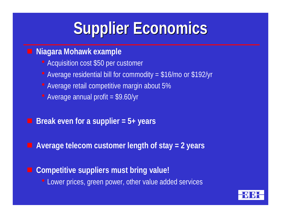# **Supplier Economics**

#### **E Niagara Mohawk example**

- Acquisition cost \$50 per customer
- Average residential bill for commodity  $= $16$ /mo or \$192/yr
- Average retail competitive margin about 5%
- Average annual profit  $= $9.60$ /yr
- g **Break even for a supplier = 5+ years**
- g **Average telecom customer length of stay = 2 years**
	- g **Competitive suppliers must bring value!** • Lower prices, green power, other value added services

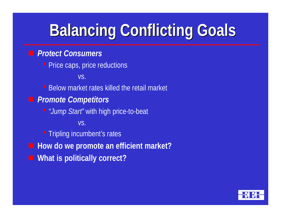# **Balancing Conflicting Goals**

#### **F** *Protect Consumers*

• Price caps, price reductions

vs.

• Below market rates killed the retail market

**Promote Competitors** 

h*"Jump Start"* with high price-to-beat

vs.

• Tripling incumbent's rates

- **How do we promote an efficient market?**
- **E** What is politically correct?

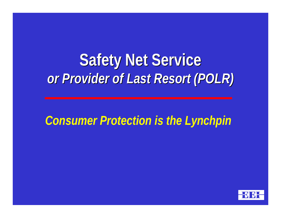### **Safety Net Service** *or Provider of Last Resort (POLR)*

*Consumer Protection is the Lynchpin*

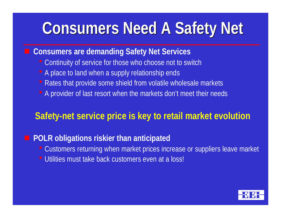# **Consumers Need A Safety Net**

#### ■ Consumers are demanding Safety Net Services

- Continuity of service for those who choose not to switch
- A place to land when a supply relationship ends
- Rates that provide some shield from volatile wholesale markets
- A provider of last resort when the markets don't meet their needs

#### **Safety-net service price is key to retail market evolution**

#### **POLR obligations riskier than anticipated**

- Customers returning when market prices increase or suppliers leave market
- Utilities must take back customers even at a loss!

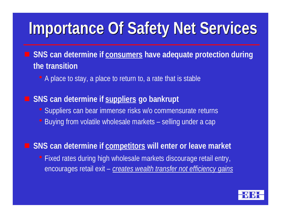# **Importance Of Safety Net Services**

#### g **SNS can determine if consumers have adequate protection during the transition**

• A place to stay, a place to return to, a rate that is stable

#### **SNS can determine if suppliers go bankrupt**

- Suppliers can bear immense risks w/o commensurate returns
- Buying from volatile wholesale markets selling under a cap

#### **EXTER SNS** can determine if competitors will enter or leave market

• Fixed rates during high wholesale markets discourage retail entry, encourages retail exit – *creates wealth transfer not efficiency gains*

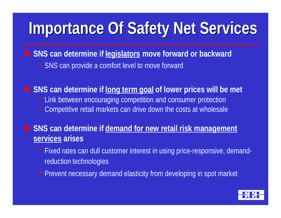# **Importance Of Safety Net Services**

**EXTERS** Can determine if legislators move forward or backward • SNS can provide a comfort level to move forward

**SNS can determine if <u>long term goal</u> of lower prices will be met** • Link between encouraging competition and consumer protection • Competitive retail markets can drive down the costs at wholesale

**EXTER SNS can determine if demand for new retail risk management services arises**

- Fixed rates can dull customer interest in using price-responsive, demandreduction technologies
- Prevent necessary demand elasticity from developing in spot market

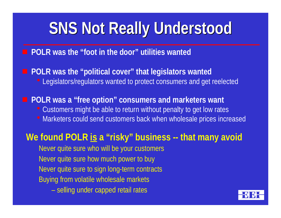# **SNS Not Really Understood**

#### $\blacksquare$  **POLR was the "foot in the door" utilities wanted**

**POLR was the "political cover" that legislators wanted** • Legislators/regulators wanted to protect consumers and get reelected

**POLR was a "free option" consumers and marketers want** 

- Customers might be able to return without penalty to get low rates
- Marketers could send customers back when wholesale prices increased

#### We found POLR is a "risky" business -- that many avoid

Never quite sure who will be your customers Never quite sure how much power to buy Never quite sure to sign long-term contracts Buying from volatile wholesale markets

– selling under capped retail rates

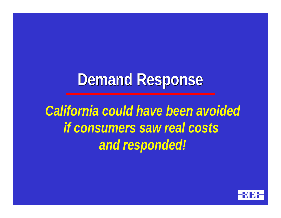### **Demand Response**

*California could have been avoided if consumers saw real costs and responded!*

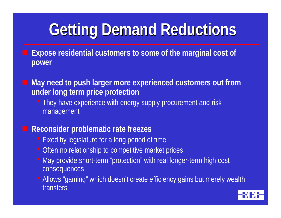# **Getting Demand Reductions**

- g **Expose residential customers to some of the marginal cost of power**
- g **May need to push larger more experienced customers out from under long term price protection**
	- They have experience with energy supply procurement and risk management

#### **EXPECTED Reconsider problematic rate freezes**

- Fixed by legislature for a long period of time
- Often no relationship to competitive market prices
- May provide short-term "protection" with real longer-term high cost consequences
- Allows "gaming" which doesn't create efficiency gains but merely wealth transfers

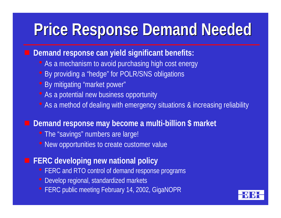### **Price Response Demand Needed**

#### **Demand response can yield significant benefits:**

- As a mechanism to avoid purchasing high cost energy
- By providing a "hedge" for POLR/SNS obligations
- By mitigating "market power"
- As a potential new business opportunity
- As a method of dealing with emergency situations & increasing reliability

#### g **Demand response may become a multi-billion \$ market**

- The "savings" numbers are large!
- New opportunities to create customer value

#### **EXA** FERC developing new national policy

- FERC and RTO control of demand response programs
- Develop regional, standardized markets
- FERC public meeting February 14, 2002, GigaNOPR

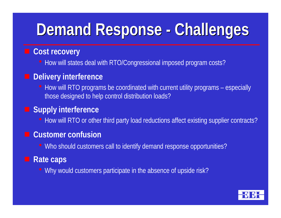# **Demand Response - Challenges**

#### **E** Cost recovery

• How will states deal with RTO/Congressional imposed program costs?

#### **Delivery interference**

 $\bullet$  How will RTO programs be coordinated with current utility programs – especially those designed to help control distribution loads?

#### **E** Supply interference

• How will RTO or other third party load reductions affect existing supplier contracts?

#### **E** Customer confusion

• Who should customers call to identify demand response opportunities?

#### **E** Rate caps

• Why would customers participate in the absence of upside risk?

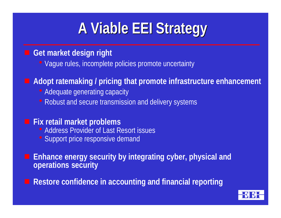### **A Viable EEI Strategy**

#### **Get market design right**

• Vague rules, incomplete policies promote uncertainty

#### g **Adopt ratemaking / pricing that promote infrastructure enhancement**

- Adequate generating capacity
- Robust and secure transmission and delivery systems

#### **Fix retail market problems**

- Address Provider of Last Resort issues
- Support price responsive demand

g **Enhance energy security by integrating cyber, physical and operations security**

g **Restore confidence in accounting and financial reporting**